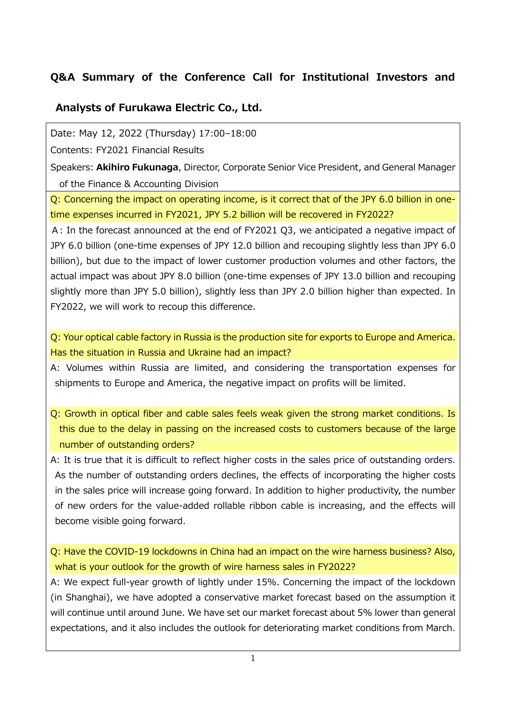## **Q&A Summary of the Conference Call for Institutional Investors and**

## **Analysts of Furukawa Electric Co., Ltd.**

Date: May 12, 2022 (Thursday) 17:00–18:00

Contents: FY2021 Financial Results

Speakers: **Akihiro Fukunaga**, Director, Corporate Senior Vice President, and General Manager of the Finance & Accounting Division

Q: Concerning the impact on operating income, is it correct that of the JPY 6.0 billion in onetime expenses incurred in FY2021, JPY 5.2 billion will be recovered in FY2022?

A: In the forecast announced at the end of FY2021 Q3, we anticipated a negative impact of JPY 6.0 billion (one-time expenses of JPY 12.0 billion and recouping slightly less than JPY 6.0 billion), but due to the impact of lower customer production volumes and other factors, the actual impact was about JPY 8.0 billion (one-time expenses of JPY 13.0 billion and recouping slightly more than JPY 5.0 billion), slightly less than JPY 2.0 billion higher than expected. In FY2022, we will work to recoup this difference.

Q: Your optical cable factory in Russia is the production site for exports to Europe and America. Has the situation in Russia and Ukraine had an impact?

A: Volumes within Russia are limited, and considering the transportation expenses for shipments to Europe and America, the negative impact on profits will be limited.

Q: Growth in optical fiber and cable sales feels weak given the strong market conditions. Is this due to the delay in passing on the increased costs to customers because of the large number of outstanding orders?

A: It is true that it is difficult to reflect higher costs in the sales price of outstanding orders. As the number of outstanding orders declines, the effects of incorporating the higher costs in the sales price will increase going forward. In addition to higher productivity, the number of new orders for the value-added rollable ribbon cable is increasing, and the effects will become visible going forward.

Q: Have the COVID-19 lockdowns in China had an impact on the wire harness business? Also, what is your outlook for the growth of wire harness sales in FY2022?

A: We expect full-year growth of lightly under 15%. Concerning the impact of the lockdown (in Shanghai), we have adopted a conservative market forecast based on the assumption it will continue until around June. We have set our market forecast about 5% lower than general expectations, and it also includes the outlook for deteriorating market conditions from March.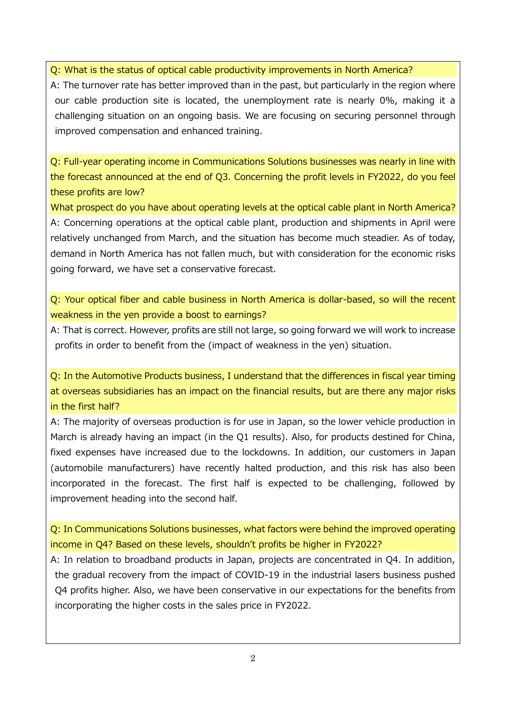Q: What is the status of optical cable productivity improvements in North America?

A: The turnover rate has better improved than in the past, but particularly in the region where our cable production site is located, the unemployment rate is nearly 0%, making it a challenging situation on an ongoing basis. We are focusing on securing personnel through improved compensation and enhanced training.

Q: Full-year operating income in Communications Solutions businesses was nearly in line with the forecast announced at the end of Q3. Concerning the profit levels in FY2022, do you feel these profits are low?

What prospect do you have about operating levels at the optical cable plant in North America? A: Concerning operations at the optical cable plant, production and shipments in April were relatively unchanged from March, and the situation has become much steadier. As of today, demand in North America has not fallen much, but with consideration for the economic risks going forward, we have set a conservative forecast.

Q: Your optical fiber and cable business in North America is dollar-based, so will the recent weakness in the yen provide a boost to earnings?

A: That is correct. However, profits are still not large, so going forward we will work to increase profits in order to benefit from the (impact of weakness in the yen) situation.

Q: In the Automotive Products business, I understand that the differences in fiscal year timing at overseas subsidiaries has an impact on the financial results, but are there any major risks in the first half?

A: The majority of overseas production is for use in Japan, so the lower vehicle production in March is already having an impact (in the Q1 results). Also, for products destined for China, fixed expenses have increased due to the lockdowns. In addition, our customers in Japan (automobile manufacturers) have recently halted production, and this risk has also been incorporated in the forecast. The first half is expected to be challenging, followed by improvement heading into the second half.

Q: In Communications Solutions businesses, what factors were behind the improved operating income in Q4? Based on these levels, shouldn't profits be higher in FY2022?

A: In relation to broadband products in Japan, projects are concentrated in Q4. In addition, the gradual recovery from the impact of COVID-19 in the industrial lasers business pushed Q4 profits higher. Also, we have been conservative in our expectations for the benefits from incorporating the higher costs in the sales price in FY2022.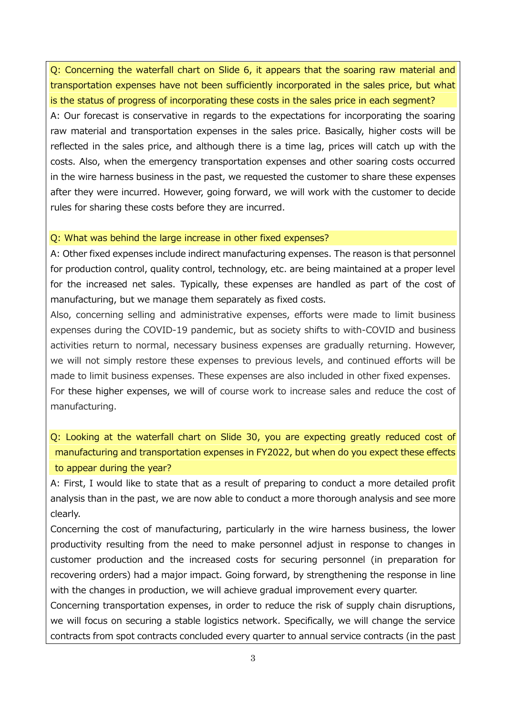Q: Concerning the waterfall chart on Slide 6, it appears that the soaring raw material and transportation expenses have not been sufficiently incorporated in the sales price, but what is the status of progress of incorporating these costs in the sales price in each segment? A: Our forecast is conservative in regards to the expectations for incorporating the soaring raw material and transportation expenses in the sales price. Basically, higher costs will be reflected in the sales price, and although there is a time lag, prices will catch up with the costs. Also, when the emergency transportation expenses and other soaring costs occurred in the wire harness business in the past, we requested the customer to share these expenses after they were incurred. However, going forward, we will work with the customer to decide rules for sharing these costs before they are incurred.

## Q: What was behind the large increase in other fixed expenses?

A: Other fixed expenses include indirect manufacturing expenses. The reason is that personnel for production control, quality control, technology, etc. are being maintained at a proper level for the increased net sales. Typically, these expenses are handled as part of the cost of manufacturing, but we manage them separately as fixed costs.

Also, concerning selling and administrative expenses, efforts were made to limit business expenses during the COVID-19 pandemic, but as society shifts to with-COVID and business activities return to normal, necessary business expenses are gradually returning. However, we will not simply restore these expenses to previous levels, and continued efforts will be made to limit business expenses. These expenses are also included in other fixed expenses. For these higher expenses, we will of course work to increase sales and reduce the cost of manufacturing.

Q: Looking at the waterfall chart on Slide 30, you are expecting greatly reduced cost of manufacturing and transportation expenses in FY2022, but when do you expect these effects to appear during the year?

A: First, I would like to state that as a result of preparing to conduct a more detailed profit analysis than in the past, we are now able to conduct a more thorough analysis and see more clearly.

Concerning the cost of manufacturing, particularly in the wire harness business, the lower productivity resulting from the need to make personnel adjust in response to changes in customer production and the increased costs for securing personnel (in preparation for recovering orders) had a major impact. Going forward, by strengthening the response in line with the changes in production, we will achieve gradual improvement every quarter.

Concerning transportation expenses, in order to reduce the risk of supply chain disruptions, we will focus on securing a stable logistics network. Specifically, we will change the service contracts from spot contracts concluded every quarter to annual service contracts (in the past